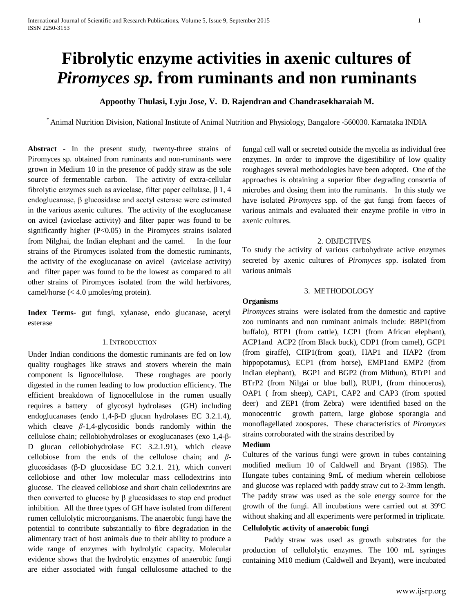# **Fibrolytic enzyme activities in axenic cultures of**  *Piromyces sp.* **from ruminants and non ruminants**

# **Appoothy Thulasi, Lyju Jose, V. D. Rajendran and Chandrasekharaiah M.**

\* Animal Nutrition Division, National Institute of Animal Nutrition and Physiology, Bangalore -560030. Karnataka INDIA

**Abstract** - In the present study, twenty-three strains of Piromyces sp. obtained from ruminants and non-ruminants were grown in Medium 10 in the presence of paddy straw as the sole source of fermentable carbon. The activity of extra-cellular fibrolytic enzymes such as avicelase, filter paper cellulase, β 1, 4 endoglucanase, β glucosidase and acetyl esterase were estimated in the various axenic cultures. The activity of the exoglucanase on avicel (avicelase activity) and filter paper was found to be significantly higher  $(P<0.05)$  in the Piromyces strains isolated from Nilghai, the Indian elephant and the camel. In the four strains of the Piromyces isolated from the domestic ruminants, the activity of the exoglucanase on avicel (avicelase activity) and filter paper was found to be the lowest as compared to all other strains of Piromyces isolated from the wild herbivores, camel/horse  $( $4.0 \mu$ moles/mg protein).$ 

**Index Terms-** gut fungi, xylanase, endo glucanase, acetyl esterase

#### 1. INTRODUCTION

Under Indian conditions the domestic ruminants are fed on low quality roughages like straws and stovers wherein the main component is lignocellulose. These roughages are poorly digested in the rumen leading to low production efficiency. The efficient breakdown of lignocellulose in the rumen usually requires a battery of glycosyl hydrolases (GH) including endoglucanases (endo 1,4-β-D glucan hydrolases EC 3.2.1.4), which cleave *β*-1,4-glycosidic bonds randomly within the cellulose chain; cellobiohydrolases or exoglucanases (exo 1,4-β-D glucan cellobiohydrolase EC 3.2.1.91), which cleave cellobiose from the ends of the cellulose chain; and *β*glucosidases (β-D glucosidase EC 3.2.1. 21), which convert cellobiose and other low molecular mass cellodextrins into glucose. The cleaved cellobiose and short chain cellodextrins are then converted to glucose by β glucosidases to stop end product inhibition. All the three types of GH have isolated from different rumen cellulolytic microorganisms. The anaerobic fungi have the potential to contribute substantially to fibre degradation in the alimentary tract of host animals due to their ability to produce a wide range of enzymes with hydrolytic capacity. Molecular evidence shows that the hydrolytic enzymes of anaerobic fungi are either associated with fungal cellulosome attached to the fungal cell wall or secreted outside the mycelia as individual free enzymes. In order to improve the digestibility of low quality roughages several methodologies have been adopted. One of the approaches is obtaining a superior fiber degrading consortia of microbes and dosing them into the ruminants. In this study we have isolated *Piromyces* spp. of the gut fungi from faeces of various animals and evaluated their enzyme profile *in vitro* in axenic cultures.

#### 2. OBJECTIVES

To study the activity of various carbohydrate active enzymes secreted by axenic cultures of *Piromyces* spp. isolated from various animals

#### 3. METHODOLOGY

#### **Organisms**

*Piromyces* strains were isolated from the domestic and captive zoo ruminants and non ruminant animals include: BBP1(from buffalo), BTP1 (from cattle), LCP1 (from African elephant), ACP1and ACP2 (from Black buck), CDP1 (from camel), GCP1 (from giraffe), CHP1(from goat), HAP1 and HAP2 (from hippopotamus), ECP1 (from horse), EMP1and EMP2 (from Indian elephant), BGP1 and BGP2 (from Mithun), BTrP1 and BTrP2 (from Nilgai or blue bull), RUP1, (from rhinoceros), OAP1 ( from sheep), CAP1, CAP2 and CAP3 (from spotted deer) and ZEP1 (from Zebra) were identified based on the monocentric growth pattern, large globose sporangia and monoflagellated zoospores. These characteristics of *Piromyces* strains corroborated with the strains described by

## **Medium**

Cultures of the various fungi were grown in tubes containing modified medium 10 of Caldwell and Bryant (1985). The Hungate tubes containing 9mL of medium wherein cellobiose and glucose was replaced with paddy straw cut to 2-3mm length. The paddy straw was used as the sole energy source for the growth of the fungi. All incubations were carried out at 39ºC without shaking and all experiments were performed in triplicate.

## **Cellulolytic activity of anaerobic fungi**

Paddy straw was used as growth substrates for the production of cellulolytic enzymes. The 100 mL syringes containing M10 medium (Caldwell and Bryant), were incubated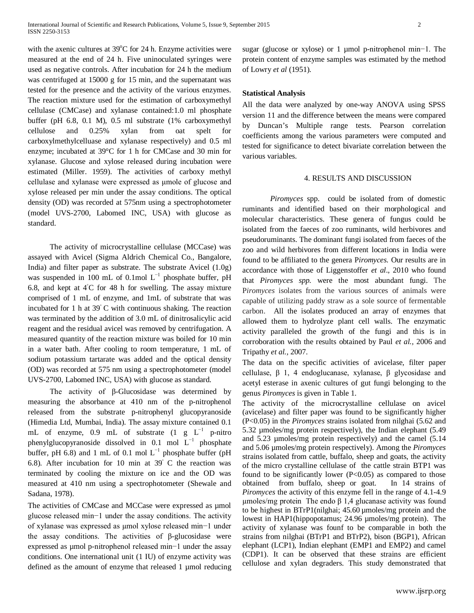with the axenic cultures at 39°C for 24 h. Enzyme activities were measured at the end of 24 h. Five uninoculated syringes were used as negative controls. After incubation for 24 h the medium was centrifuged at 15000 g for 15 min, and the supernatant was tested for the presence and the activity of the various enzymes. The reaction mixture used for the estimation of carboxymethyl cellulase (CMCase) and xylanase contained:1.0 ml phosphate buffer (pH 6.8, 0.1 M), 0.5 ml substrate (1% carboxymethyl cellulose and 0.25% xylan from oat spelt for carboxylmethylcelluase and xylanase respectively) and 0.5 ml enzyme; incubated at 39°C for 1 h for CMCase and 30 min for xylanase. Glucose and xylose released during incubation were estimated (Miller. 1959). The activities of carboxy methyl cellulase and xylanase were expressed as μmole of glucose and xylose released per min under the assay conditions. The optical density (OD) was recorded at 575nm using a spectrophotometer (model UVS-2700, Labomed INC, USA) with glucose as standard.

The activity of microcrystalline cellulase (MCCase) was assayed with Avicel (Sigma Aldrich Chemical Co., Bangalore, India) and filter paper as substrate. The substrate Avicel (1.0g) was suspended in 100 mL of 0.1mol  $L^{-1}$  phosphate buffer, pH 6.8, and kept at 4◦ C for 48 h for swelling. The assay mixture comprised of 1 mL of enzyme, and 1mL of substrate that was incubated for 1 h at 39◦ C with continuous shaking. The reaction was terminated by the addition of 3.0 mL of dinitrosalicylic acid reagent and the residual avicel was removed by centrifugation. A measured quantity of the reaction mixture was boiled for 10 min in a water bath. After cooling to room temperature, 1 mL of sodium potassium tartarate was added and the optical density (OD) was recorded at 575 nm using a spectrophotometer (model UVS-2700, Labomed INC, USA) with glucose as standard.

The activity of β-Glucosidase was determined by measuring the absorbance at 410 nm of the p-nitrophenol released from the substrate p-nitrophenyl glucopyranoside (Himedia Ltd, Mumbai, India). The assay mixture contained 0.1 mL of enzyme, 0.9 mL of substrate  $(1 \text{ g } L^{-1}$  p-nitro phenylglucopyranoside dissolved in 0.1 mol  $L^{-1}$  phosphate buffer, pH 6.8) and 1 mL of 0.1 mol  $L^{-1}$  phosphate buffer (pH 6.8). After incubation for 10 min at 39◦ C the reaction was terminated by cooling the mixture on ice and the OD was measured at 410 nm using a spectrophotometer (Shewale and Sadana, 1978).

The activities of CMCase and MCCase were expressed as  $\mu$ mol glucose released min−1 under the assay conditions. The activity of xylanase was expressed as µmol xylose released min−1 under the assay conditions. The activities of β-glucosidase were expressed as µmol p-nitrophenol released min−1 under the assay conditions. One international unit (1 IU) of enzyme activity was defined as the amount of enzyme that released 1 µmol reducing sugar (glucose or xylose) or 1 µmol p-nitrophenol min−1. The protein content of enzyme samples was estimated by the method of Lowry *et al* (1951).

### **Statistical Analysis**

All the data were analyzed by one-way ANOVA using SPSS version 11 and the difference between the means were compared by Duncan's Multiple range tests. Pearson correlation coefficients among the various parameters were computed and tested for significance to detect bivariate correlation between the various variables.

### 4. RESULTS AND DISCUSSION

*Piromyces* spp. could be isolated from of domestic ruminants and identified based on their morphological and molecular characteristics. These genera of fungus could be isolated from the faeces of zoo ruminants, wild herbivores and pseudoruminants. The dominant fungi isolated from faeces of the zoo and wild herbivores from different locations in India were found to be affiliated to the genera P*iromyces.* Our results are in accordance with those of Liggenstoffer *et al*., 2010 who found that *Piromyces spp.* were the most abundant fungi. The P*iromyces* isolates from the various sources of animals were capable of utilizing paddy straw as a sole source of fermentable carbon. All the isolates produced an array of enzymes that allowed them to hydrolyze plant cell walls. The enzymatic activity paralleled the growth of the fungi and this is in corroboration with the results obtained by Paul *et al.,* 2006 and Tripathy *et al.,* 2007.

The data on the specific activities of avicelase, filter paper cellulase, β 1, 4 endoglucanase, xylanase, β glycosidase and acetyl esterase in axenic cultures of gut fungi belonging to the genus *Piromyces* is given in Table 1.

The activity of the microcrystalline cellulase on avicel (avicelase) and filter paper was found to be significantly higher (P<0.05) in the *Piromyces* strains isolated from nilghai (5.62 and 5.32 µmoles/mg protein respectively), the Indian elephant (5.49 and 5.23 µmoles/mg protein respectively) and the camel (5.14 and 5.06 µmoles/mg protein respectively). Among the *Piromyces* strains isolated from cattle, buffalo, sheep and goats, the activity of the micro crystalline cellulase of the cattle strain BTP1 was found to be significantly lower  $(P<0.05)$  as compared to those obtained from buffalo, sheep or goat. In 14 strains of *Piromyces* the activity of this enzyme fell in the range of 4.1-4.9 µmoles/mg protein The endo β 1,4 glucanase activity was found to be highest in BTrP1(nilghai; 45.60 µmoles/mg protein and the lowest in HAP1(hippopotamus; 24.96 µmoles/mg protein). The activity of xylanase was founf to be comparable in both the strains from nilghai (BTrP1 and BTrP2), bison (BGP1), African elephant (LCP1), Indian elephant (EMP1 and EMP2) and camel (CDP1). It can be observed that these strains are efficient cellulose and xylan degraders. This study demonstrated that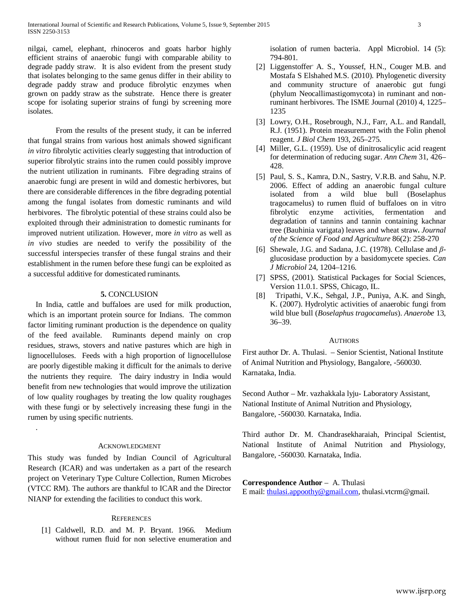nilgai, camel, elephant, rhinoceros and goats harbor highly efficient strains of anaerobic fungi with comparable ability to degrade paddy straw. It is also evident from the present study that isolates belonging to the same genus differ in their ability to degrade paddy straw and produce fibrolytic enzymes when grown on paddy straw as the substrate. Hence there is greater scope for isolating superior strains of fungi by screening more isolates.

From the results of the present study, it can be inferred that fungal strains from various host animals showed significant *in vitro* fibrolytic activities clearly suggesting that introduction of superior fibrolytic strains into the rumen could possibly improve the nutrient utilization in ruminants. Fibre degrading strains of anaerobic fungi are present in wild and domestic herbivores, but there are considerable differences in the fibre degrading potential among the fungal isolates from domestic ruminants and wild herbivores. The fibrolytic potential of these strains could also be exploited through their administration to domestic ruminants for improved nutrient utilization. However, more *in vitro* as well as *in vivo* studies are needed to verify the possibility of the successful interspecies transfer of these fungal strains and their establishment in the rumen before these fungi can be exploited as a successful additive for domesticated ruminants.

## **5.** CONCLUSION

In India, cattle and buffaloes are used for milk production, which is an important protein source for Indians. The common factor limiting ruminant production is the dependence on quality of the feed available. Ruminants depend mainly on crop residues, straws, stovers and native pastures which are high in lignocelluloses. Feeds with a high proportion of lignocellulose are poorly digestible making it difficult for the animals to derive the nutrients they require. The dairy industry in India would benefit from new technologies that would improve the utilization of low quality roughages by treating the low quality roughages with these fungi or by selectively increasing these fungi in the rumen by using specific nutrients.

#### ACKNOWLEDGMENT

.

This study was funded by Indian Council of Agricultural Research (ICAR) and was undertaken as a part of the research project on Veterinary Type Culture Collection, Rumen Microbes (VTCC RM). The authors are thankful to ICAR and the Director NIANP for extending the facilities to conduct this work.

### **REFERENCES**

[1] Caldwell, R.D. and M. P. Bryant. 1966. Medium without rumen fluid for non selective enumeration and isolation of rumen bacteria. Appl Microbiol. 14 (5): 794-801.

- [2] Liggenstoffer' A. S., Youssef, H.N., Couger M.B. and Mostafa S Elshahed M.S. (2010). Phylogenetic diversity and community structure of anaerobic gut fungi (phylum Neocallimastigomycota) in ruminant and nonruminant herbivores. The ISME Journal (2010) 4, 1225– 1235
- [3] Lowry, O.H., Rosebrough, N.J., Farr, A.L. and Randall, R.J. (1951). Protein measurement with the Folin phenol reagent. *J Biol Chem* 193, 265–275.
- [4] Miller, G.L. (1959). Use of dinitrosalicylic acid reagent for determination of reducing sugar. *Ann Chem* 31, 426– 428.
- [5] Paul, S. S., Kamra, D.N., Sastry, V.R.B. and Sahu, N.P. 2006. Effect of adding an anaerobic fungal culture isolated from a wild blue bull (Boselaphus tragocamelus) to rumen fluid of buffaloes on in vitro fibrolytic enzyme activities, fermentation and degradation of tannins and tannin containing kachnar tree (Bauhinia varigata) leaves and wheat straw**.** *Journal of the Science of Food and Agriculture* 86(2): 258-270
- [6] Shewale, J.G. and Sadana, J.C. (1978). Cellulase and *β*glucosidase production by a basidomycete species. *Can J Microbiol* 24, 1204–1216.
- [7] SPSS, (2001). Statistical Packages for Social Sciences, Version 11.0.1. SPSS, Chicago, IL.
- [8] Tripathi, V.K., Sehgal, J.P., Puniya, A.K. and Singh, K. (2007). Hydrolytic activities of anaerobic fungi from wild blue bull (*Boselaphus tragocamelus*). *Anaerobe* 13, 36–39.

#### **AUTHORS**

First author Dr. A. Thulasi. – Senior Scientist, National Institute of Animal Nutrition and Physiology, Bangalore, -560030. Karnataka, India.

Second Author – Mr. vazhakkala lyju- Laboratory Assistant, National Institute of Animal Nutrition and Physiology, Bangalore, -560030. Karnataka, India.

Third author Dr. M. Chandrasekharaiah, Principal Scientist, National Institute of Animal Nutrition and Physiology, Bangalore, -560030. Karnataka, India.

#### **Correspondence Author** – A. Thulasi

E mail: [thulasi.appoothy@gmail.com,](mailto:thulasi.appoothy@gmail.com) thulasi.vtcrm@gmail.